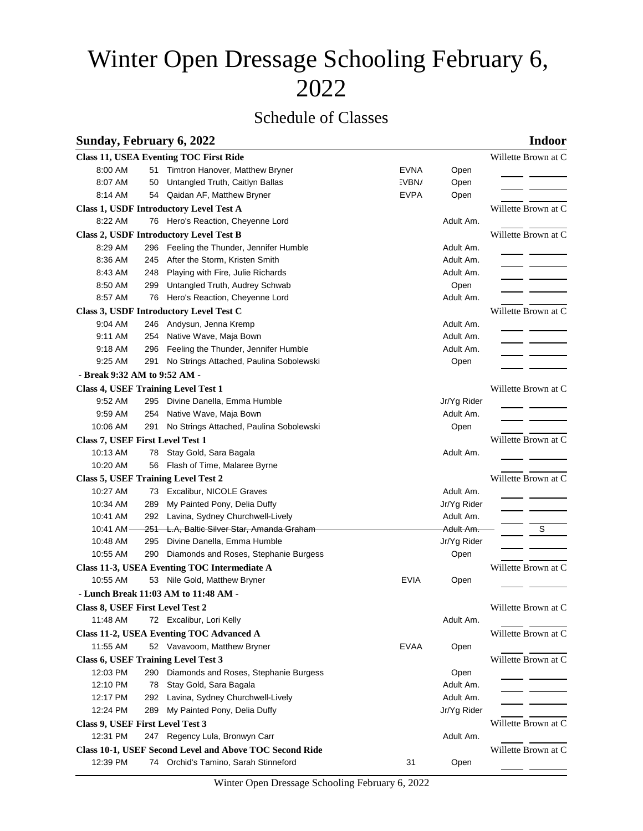# Winter Open Dressage Schooling February 6, 2022

## Schedule of Classes

### **Sunday, February 6, 2022 Indoor**

|                                                                                                   |                     | <b>Class 11, USEA Eventing TOC First Ride</b>           |             |             | Willette Brown at C |  |  |  |  |
|---------------------------------------------------------------------------------------------------|---------------------|---------------------------------------------------------|-------------|-------------|---------------------|--|--|--|--|
| 8:00 AM                                                                                           | 51                  | Timtron Hanover, Matthew Bryner                         | <b>EVNA</b> | Open        |                     |  |  |  |  |
| 8:07 AM                                                                                           | 50                  | Untangled Truth, Caitlyn Ballas                         | :VBN/       | Open        |                     |  |  |  |  |
| 8:14 AM                                                                                           |                     | 54 Qaidan AF, Matthew Bryner                            | <b>EVPA</b> | Open        |                     |  |  |  |  |
| Class 1, USDF Introductory Level Test A                                                           | Willette Brown at C |                                                         |             |             |                     |  |  |  |  |
| 8:22 AM                                                                                           |                     | 76 Hero's Reaction, Cheyenne Lord                       |             | Adult Am.   |                     |  |  |  |  |
|                                                                                                   |                     | <b>Class 2, USDF Introductory Level Test B</b>          |             |             | Willette Brown at C |  |  |  |  |
| 8:29 AM                                                                                           |                     | 296 Feeling the Thunder, Jennifer Humble                |             | Adult Am.   |                     |  |  |  |  |
| 8:36 AM                                                                                           | 245                 | After the Storm, Kristen Smith                          |             | Adult Am.   |                     |  |  |  |  |
| 8:43 AM                                                                                           | 248                 | Playing with Fire, Julie Richards                       |             | Adult Am.   |                     |  |  |  |  |
| 8:50 AM                                                                                           | 299                 | Untangled Truth, Audrey Schwab                          |             | Open        |                     |  |  |  |  |
| 8:57 AM                                                                                           |                     | 76 Hero's Reaction, Cheyenne Lord                       |             | Adult Am.   |                     |  |  |  |  |
| Class 3, USDF Introductory Level Test C                                                           | Willette Brown at C |                                                         |             |             |                     |  |  |  |  |
| 9:04 AM                                                                                           |                     | 246 Andysun, Jenna Kremp                                |             | Adult Am.   |                     |  |  |  |  |
| 9:11 AM                                                                                           | 254                 | Native Wave, Maja Bown                                  |             | Adult Am.   |                     |  |  |  |  |
| 9:18 AM                                                                                           |                     | 296 Feeling the Thunder, Jennifer Humble                |             | Adult Am.   |                     |  |  |  |  |
| 9:25 AM                                                                                           | 291                 | No Strings Attached, Paulina Sobolewski                 |             | Open        |                     |  |  |  |  |
|                                                                                                   |                     |                                                         |             |             |                     |  |  |  |  |
| - Break 9:32 AM to 9:52 AM -<br>Willette Brown at C<br><b>Class 4, USEF Training Level Test 1</b> |                     |                                                         |             |             |                     |  |  |  |  |
| 9:52 AM                                                                                           |                     | 295 Divine Danella, Emma Humble                         |             | Jr/Yg Rider |                     |  |  |  |  |
| 9:59 AM                                                                                           |                     | 254 Native Wave, Maja Bown                              |             | Adult Am.   |                     |  |  |  |  |
| 10:06 AM                                                                                          | 291                 | No Strings Attached, Paulina Sobolewski                 |             | Open        |                     |  |  |  |  |
| Class 7, USEF First Level Test 1                                                                  |                     |                                                         |             |             | Willette Brown at C |  |  |  |  |
| 10:13 AM                                                                                          |                     | 78 Stay Gold, Sara Bagala                               |             | Adult Am.   |                     |  |  |  |  |
| 10:20 AM                                                                                          |                     | 56 Flash of Time, Malaree Byrne                         |             |             |                     |  |  |  |  |
|                                                                                                   |                     |                                                         |             |             |                     |  |  |  |  |
|                                                                                                   |                     | <b>Class 5, USEF Training Level Test 2</b>              |             |             | Willette Brown at C |  |  |  |  |
| 10:27 AM                                                                                          |                     | 73 Excalibur, NICOLE Graves                             |             | Adult Am.   |                     |  |  |  |  |
| 10:34 AM                                                                                          | 289                 | My Painted Pony, Delia Duffy                            |             | Jr/Yg Rider |                     |  |  |  |  |
| 10:41 AM                                                                                          |                     | 292 Lavina, Sydney Churchwell-Lively                    |             | Adult Am.   |                     |  |  |  |  |
| 10:41 AM-                                                                                         |                     | 251 L.A, Baltic Silver Star, Amanda Graham              |             | Adult Am.   | S                   |  |  |  |  |
| 10:48 AM                                                                                          | 295                 | Divine Danella, Emma Humble                             |             | Jr/Yg Rider |                     |  |  |  |  |
| 10:55 AM                                                                                          | 290                 | Diamonds and Roses, Stephanie Burgess                   |             | Open        |                     |  |  |  |  |
|                                                                                                   |                     | Class 11-3, USEA Eventing TOC Intermediate A            |             |             | Willette Brown at C |  |  |  |  |
| 10:55 AM                                                                                          |                     | 53 Nile Gold, Matthew Bryner                            | <b>EVIA</b> | Open        |                     |  |  |  |  |
|                                                                                                   |                     | - Lunch Break 11:03 AM to 11:48 AM -                    |             |             |                     |  |  |  |  |
| Class 8, USEF First Level Test 2                                                                  |                     |                                                         |             |             | Willette Brown at C |  |  |  |  |
| 11:48 AM                                                                                          |                     | 72 Excalibur, Lori Kelly                                |             | Adult Am.   |                     |  |  |  |  |
|                                                                                                   |                     | Class 11-2, USEA Eventing TOC Advanced A                |             |             | Willette Brown at C |  |  |  |  |
| 11:55 AM                                                                                          |                     | 52 Vavavoom, Matthew Bryner                             | <b>EVAA</b> | Open        |                     |  |  |  |  |
|                                                                                                   |                     | <b>Class 6, USEF Training Level Test 3</b>              |             |             | Willette Brown at C |  |  |  |  |
| 12:03 PM                                                                                          | 290                 | Diamonds and Roses, Stephanie Burgess                   |             | Open        |                     |  |  |  |  |
| 12:10 PM                                                                                          | 78                  | Stay Gold, Sara Bagala                                  |             | Adult Am.   |                     |  |  |  |  |
| 12:17 PM                                                                                          |                     | 292 Lavina, Sydney Churchwell-Lively                    |             | Adult Am.   |                     |  |  |  |  |
| 12:24 PM                                                                                          | 289                 | My Painted Pony, Delia Duffy                            |             | Jr/Yg Rider |                     |  |  |  |  |
| Class 9, USEF First Level Test 3                                                                  |                     | Willette Brown at C                                     |             |             |                     |  |  |  |  |
| 12:31 PM                                                                                          |                     | 247 Regency Lula, Bronwyn Carr                          |             | Adult Am.   |                     |  |  |  |  |
|                                                                                                   |                     | Class 10-1, USEF Second Level and Above TOC Second Ride |             |             | Willette Brown at C |  |  |  |  |
| 12:39 PM                                                                                          |                     | 74 Orchid's Tamino, Sarah Stinneford                    | 31          | Open        |                     |  |  |  |  |
|                                                                                                   |                     |                                                         |             |             |                     |  |  |  |  |

Winter Open Dressage Schooling February 6, 2022